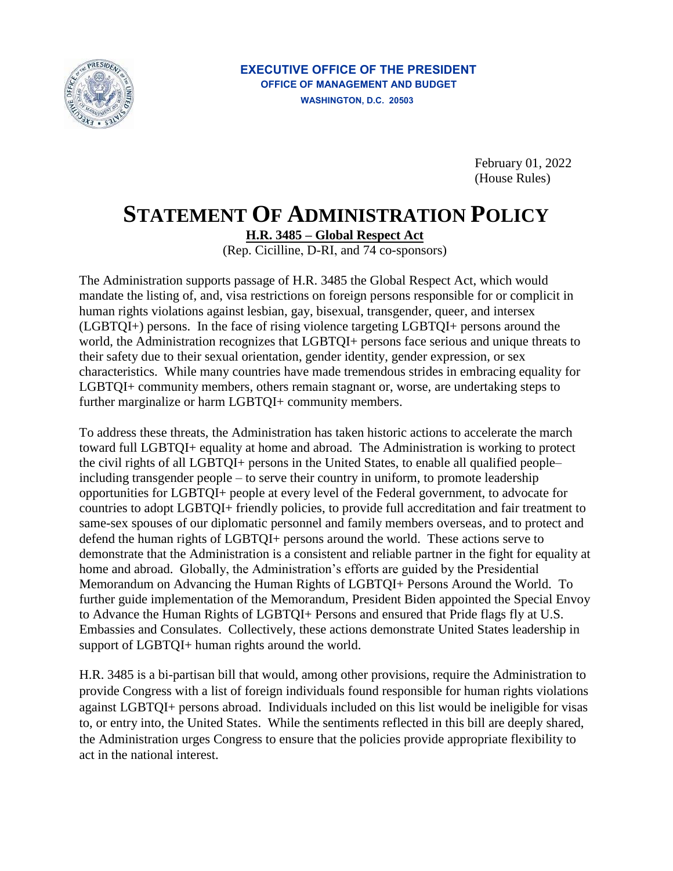

## **EXECUTIVE OFFICE OF THE PRESIDENT OFFICE OF MANAGEMENT AND BUDGET WASHINGTON, D.C. 20503**

February 01, 2022 (House Rules)

## **STATEMENT OF ADMINISTRATION POLICY**

**H.R. 3485 – Global Respect Act** 

(Rep. Cicilline, D-RI, and 74 co-sponsors)

The Administration supports passage of H.R. 3485 the Global Respect Act, which would mandate the listing of, and, visa restrictions on foreign persons responsible for or complicit in human rights violations against lesbian, gay, bisexual, transgender, queer, and intersex (LGBTQI+) persons. In the face of rising violence targeting LGBTQI+ persons around the world, the Administration recognizes that LGBTQI+ persons face serious and unique threats to their safety due to their sexual orientation, gender identity, gender expression, or sex characteristics. While many countries have made tremendous strides in embracing equality for LGBTQI+ community members, others remain stagnant or, worse, are undertaking steps to further marginalize or harm LGBTQI+ community members.

To address these threats, the Administration has taken historic actions to accelerate the march toward full LGBTQI+ equality at home and abroad. The Administration is working to protect the civil rights of all LGBTQI+ persons in the United States, to enable all qualified people– including transgender people – to serve their country in uniform, to promote leadership opportunities for LGBTQI+ people at every level of the Federal government, to advocate for countries to adopt LGBTQI+ friendly policies, to provide full accreditation and fair treatment to same-sex spouses of our diplomatic personnel and family members overseas, and to protect and defend the human rights of LGBTQI+ persons around the world. These actions serve to demonstrate that the Administration is a consistent and reliable partner in the fight for equality at home and abroad. Globally, the Administration's efforts are guided by the Presidential Memorandum on Advancing the Human Rights of LGBTQI+ Persons Around the World. To further guide implementation of the Memorandum, President Biden appointed the Special Envoy to Advance the Human Rights of LGBTQI+ Persons and ensured that Pride flags fly at U.S. Embassies and Consulates. Collectively, these actions demonstrate United States leadership in support of LGBTQI+ human rights around the world.

H.R. 3485 is a bi-partisan bill that would, among other provisions, require the Administration to provide Congress with a list of foreign individuals found responsible for human rights violations against LGBTQI+ persons abroad. Individuals included on this list would be ineligible for visas to, or entry into, the United States. While the sentiments reflected in this bill are deeply shared, the Administration urges Congress to ensure that the policies provide appropriate flexibility to act in the national interest.